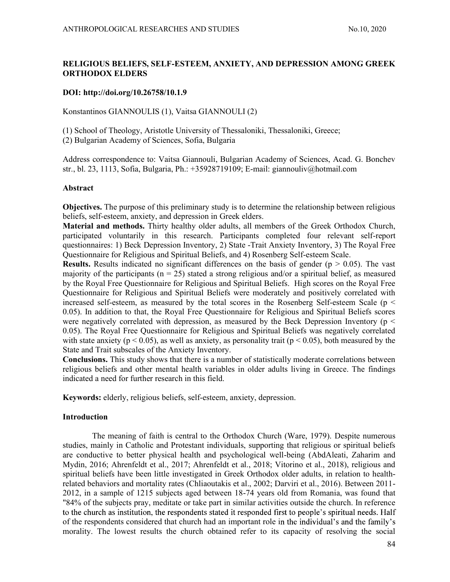# RELIGIOUS BELIEFS, SELF-ESTEEM, ANXIETY, AND DEPRESSION AMONG GREEK ORTHODOX ELDERS

#### DOI: http://doi.org/10.26758/10.1.9

Konstantinos GIANNOULIS (1), Vaitsa GIANNOULI (2)

(1) School of Theology, Aristotle University of Thessaloniki, Thessaloniki, Greece;

(2) Bulgarian Academy of Sciences, Sofia, Bulgaria

Address correspondence to: Vaitsa Giannouli, Bulgarian Academy of Sciences, Acad. G. Bonchev str., bl. 23, 1113, Sofia, Bulgaria, Ph.: +35928719109; E-mail: giannouliv@hotmail.com

#### Abstract

Objectives. The purpose of this preliminary study is to determine the relationship between religious beliefs, self-esteem, anxiety, and depression in Greek elders.

Material and methods. Thirty healthy older adults, all members of the Greek Orthodox Church, participated voluntarily in this research. Participants completed four relevant self-report questionnaires: 1) Beck Depression Inventory, 2) State -Trait Anxiety Inventory, 3) The Royal Free Questionnaire for Religious and Spiritual Beliefs, and 4) Rosenberg Self-esteem Scale.

**Results.** Results indicated no significant differences on the basis of gender ( $p > 0.05$ ). The vast majority of the participants ( $n = 25$ ) stated a strong religious and/or a spiritual belief, as measured by the Royal Free Questionnaire for Religious and Spiritual Beliefs. High scores on the Royal Free Questionnaire for Religious and Spiritual Beliefs were moderately and positively correlated with increased self-esteem, as measured by the total scores in the Rosenberg Self-esteem Scale ( $p <$ 0.05). In addition to that, the Royal Free Questionnaire for Religious and Spiritual Beliefs scores were negatively correlated with depression, as measured by the Beck Depression Inventory ( $p \le$ 0.05). The Royal Free Questionnaire for Religious and Spiritual Beliefs was negatively correlated with state anxiety ( $p < 0.05$ ), as well as anxiety, as personality trait ( $p < 0.05$ ), both measured by the State and Trait subscales of the Anxiety Inventory.

Conclusions. This study shows that there is a number of statistically moderate correlations between religious beliefs and other mental health variables in older adults living in Greece. The findings indicated a need for further research in this field.

Keywords: elderly, religious beliefs, self-esteem, anxiety, depression.

# Introduction

The meaning of faith is central to the Orthodox Church (Ware, 1979). Despite numerous studies, mainly in Catholic and Protestant individuals, supporting that religious or spiritual beliefs are conductive to better physical health and psychological well-being (AbdAleati, Zaharim and Mydin, 2016; Ahrenfeldt et al., 2017; Ahrenfeldt et al., 2018; Vitorino et al., 2018), religious and spiritual beliefs have been little investigated in Greek Orthodox older adults, in relation to healthrelated behaviors and mortality rates (Chliaoutakis et al., 2002; Darviri et al., 2016). Between 2011- 2012, in a sample of 1215 subjects aged between 18-74 years old from Romania, was found that "84% of the subjects pray, meditate or take part in similar activities outside the church. In reference to the church as institution, the respondents stated it responded first to people's spiritual needs. Half of the respondents considered that church had an important role in the individual's and the family's morality. The lowest results the church obtained refer to its capacity of resolving the social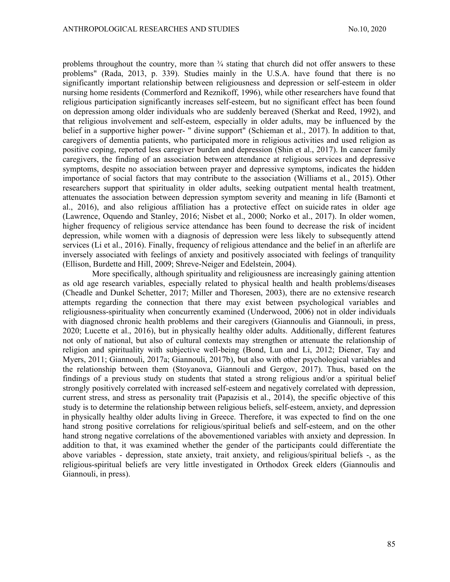problems throughout the country, more than  $\frac{3}{4}$  stating that church did not offer answers to these problems" (Rada, 2013, p. 339). Studies mainly in the U.S.A. have found that there is no significantly important relationship between religiousness and depression or self-esteem in older nursing home residents (Commerford and Reznikoff, 1996), while other researchers have found that religious participation significantly increases self-esteem, but no significant effect has been found on depression among older individuals who are suddenly bereaved (Sherkat and Reed, 1992), and that religious involvement and self-esteem, especially in older adults, may be influenced by the belief in a supportive higher power- " divine support" (Schieman et al., 2017). In addition to that, caregivers of dementia patients, who participated more in religious activities and used religion as positive coping, reported less caregiver burden and depression (Shin et al., 2017). In cancer family caregivers, the finding of an association between attendance at religious services and depressive symptoms, despite no association between prayer and depressive symptoms, indicates the hidden importance of social factors that may contribute to the association (Williams et al., 2015). Other researchers support that spirituality in older adults, seeking outpatient mental health treatment, attenuates the association between depression symptom severity and meaning in life (Bamonti et al., 2016), and also religious affiliation has a protective effect on suicide rates in older age (Lawrence, Oquendo and Stanley, 2016; Nisbet et al., 2000; Norko et al., 2017). In older women, higher frequency of religious service attendance has been found to decrease the risk of incident depression, while women with a diagnosis of depression were less likely to subsequently attend services (Li et al., 2016). Finally, frequency of religious attendance and the belief in an afterlife are inversely associated with feelings of anxiety and positively associated with feelings of tranquility (Ellison, Burdette and Hill, 2009; Shreve-Neiger and Edelstein, 2004).

More specifically, although spirituality and religiousness are increasingly gaining attention as old age research variables, especially related to physical health and health problems/diseases (Cheadle and Dunkel Schetter, 2017; Miller and Thoresen, 2003), there are no extensive research attempts regarding the connection that there may exist between psychological variables and religiousness-spirituality when concurrently examined (Underwood, 2006) not in older individuals with diagnosed chronic health problems and their caregivers (Giannoulis and Giannouli, in press, 2020; Lucette et al., 2016), but in physically healthy older adults. Additionally, different features not only of national, but also of cultural contexts may strengthen or attenuate the relationship of religion and spirituality with subjective well-being (Bond, Lun and Li, 2012; Diener, Tay and Myers, 2011; Giannouli, 2017a; Giannouli, 2017b), but also with other psychological variables and the relationship between them (Stoyanova, Giannouli and Gergov, 2017). Thus, based on the findings of a previous study on students that stated a strong religious and/or a spiritual belief strongly positively correlated with increased self-esteem and negatively correlated with depression, current stress, and stress as personality trait (Papazisis et al., 2014), the specific objective of this study is to determine the relationship between religious beliefs, self-esteem, anxiety, and depression in physically healthy older adults living in Greece. Therefore, it was expected to find on the one hand strong positive correlations for religious/spiritual beliefs and self-esteem, and on the other hand strong negative correlations of the abovementioned variables with anxiety and depression. In addition to that, it was examined whether the gender of the participants could differentiate the above variables - depression, state anxiety, trait anxiety, and religious/spiritual beliefs -, as the religious-spiritual beliefs are very little investigated in Orthodox Greek elders (Giannoulis and Giannouli, in press).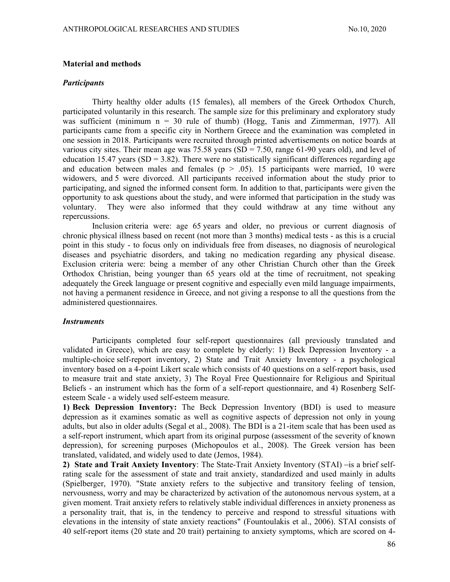#### Material and methods

#### **Participants**

Thirty healthy older adults (15 females), all members of the Greek Orthodox Church, participated voluntarily in this research. The sample size for this preliminary and exploratory study was sufficient (minimum n = 30 rule of thumb) (Hogg, Tanis and Zimmerman, 1977). All participants came from a specific city in Northern Greece and the examination was completed in one session in 2018. Participants were recruited through printed advertisements on notice boards at various city sites. Their mean age was 75.58 years  $(SD = 7.50$ , range 61-90 years old), and level of education 15.47 years (SD = 3.82). There were no statistically significant differences regarding age and education between males and females ( $p > .05$ ). 15 participants were married, 10 were widowers, and 5 were divorced. All participants received information about the study prior to participating, and signed the informed consent form. In addition to that, participants were given the opportunity to ask questions about the study, and were informed that participation in the study was voluntary. They were also informed that they could withdraw at any time without any repercussions.

Inclusion criteria were: age 65 years and older, no previous or current diagnosis of chronic physical illness based on recent (not more than 3 months) medical tests - as this is a crucial point in this study - to focus only on individuals free from diseases, no diagnosis of neurological diseases and psychiatric disorders, and taking no medication regarding any physical disease. Exclusion criteria were: being a member of any other Christian Church other than the Greek Orthodox Christian, being younger than 65 years old at the time of recruitment, not speaking adequately the Greek language or present cognitive and especially even mild language impairments, not having a permanent residence in Greece, and not giving a response to all the questions from the administered questionnaires.

#### **Instruments**

Participants completed four self-report questionnaires (all previously translated and validated in Greece), which are easy to complete by elderly: 1) Beck Depression Inventory - a multiple-choice self-report inventory, 2) State and Trait Anxiety Inventory - a psychological inventory based on a 4-point Likert scale which consists of 40 questions on a self-report basis, used to measure trait and state anxiety, 3) The Royal Free Questionnaire for Religious and Spiritual Beliefs - an instrument which has the form of a self-report questionnaire, and 4) Rosenberg Selfesteem Scale - a widely used self-esteem measure.

1) Beck Depression Inventory: The Beck Depression Inventory (BDI) is used to measure depression as it examines somatic as well as cognitive aspects of depression not only in young adults, but also in older adults (Segal et al., 2008). The BDI is a 21-item scale that has been used as a self-report instrument, which apart from its original purpose (assessment of the severity of known depression), for screening purposes (Michopoulos et al., 2008). The Greek version has been translated, validated, and widely used to date (Jemos, 1984).

2) State and Trait Anxiety Inventory: The State-Trait Anxiety Inventory  $(STAI)$  - is a brief selfrating scale for the assessment of state and trait anxiety, standardized and used mainly in adults (Spielberger, 1970). "State anxiety refers to the subjective and transitory feeling of tension, nervousness, worry and may be characterized by activation of the autonomous nervous system, at a given moment. Trait anxiety refers to relatively stable individual differences in anxiety proneness as a personality trait, that is, in the tendency to perceive and respond to stressful situations with elevations in the intensity of state anxiety reactions" (Fountoulakis et al., 2006). STAI consists of 40 self-report items (20 state and 20 trait) pertaining to anxiety symptoms, which are scored on 4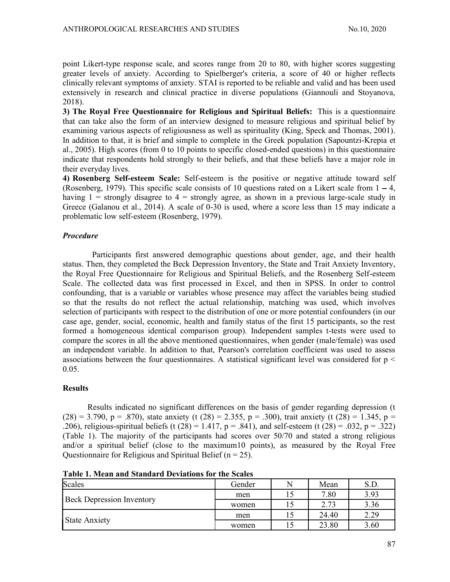point Likert-type response scale, and scores range from 20 to 80, with higher scores suggesting greater levels of anxiety. According to Spielberger's criteria, a score of 40 or higher reflects clinically relevant symptoms of anxiety. STAI is reported to be reliable and valid and has been used extensively in research and clinical practice in diverse populations (Giannouli and Stoyanova, 2018).

3) The Royal Free Questionnaire for Religious and Spiritual Beliefs: This is a questionnaire that can take also the form of an interview designed to measure religious and spiritual belief by examining various aspects of religiousness as well as spirituality (King, Speck and Thomas, 2001). In addition to that, it is brief and simple to complete in the Greek population (Sapountzi-Krepia et al., 2005). High scores (from 0 to 10 points to specific closed-ended questions) in this questionnaire indicate that respondents hold strongly to their beliefs, and that these beliefs have a major role in their everyday lives.

4) Rosenberg Self-esteem Scale: Self-esteem is the positive or negative attitude toward self (Rosenberg, 1979). This specific scale consists of 10 questions rated on a Likert scale from  $1 - 4$ , having  $1 =$  strongly disagree to  $4 =$  strongly agree, as shown in a previous large-scale study in Greece (Galanou et al., 2014). A scale of 0-30 is used, where a score less than 15 may indicate a problematic low self-esteem (Rosenberg, 1979).

# Procedure

Participants first answered demographic questions about gender, age, and their health status. Then, they completed the Beck Depression Inventory, the State and Trait Anxiety Inventory, the Royal Free Questionnaire for Religious and Spiritual Beliefs, and the Rosenberg Self-esteem Scale. The collected data was first processed in Excel, and then in SPSS. In order to control confounding, that is a variable or variables whose presence may affect the variables being studied so that the results do not reflect the actual relationship, matching was used, which involves selection of participants with respect to the distribution of one or more potential confounders (in our case age, gender, social, economic, health and family status of the first 15 participants, so the rest formed a homogeneous identical comparison group). Independent samples t-tests were used to compare the scores in all the above mentioned questionnaires, when gender (male/female) was used an independent variable. In addition to that, Pearson's correlation coefficient was used to assess associations between the four questionnaires. A statistical significant level was considered for  $p <$ 0.05.

Results<br>Results indicated no significant differences on the basis of gender regarding depression (t  $(28) = 3.790$ , p = .870), state anxiety (t (28) = 2.355, p = .300), trait anxiety (t (28) = 1.345, p = .206), religious-spiritual beliefs (t (28) = 1.417,  $p = .841$ ), and self-esteem (t (28) = .032,  $p = .322$ ) (Table 1). The majority of the participants had scores over 50/70 and stated a strong religious and/or a spiritual belief (close to the maximum10 points), as measured by the Royal Free Questionnaire for Religious and Spiritual Belief ( $n = 25$ ).

| Scales                           | Gender | N   | Mean  | S.D. |  |
|----------------------------------|--------|-----|-------|------|--|
| <b>Beck Depression Inventory</b> | men    | ⊥ آ | 7.80  | 3.93 |  |
|                                  | women  |     | 2.73  | 3.36 |  |
| State Anxiety                    | men    |     | 24.40 | 2.29 |  |
|                                  | women  |     | 23.80 | 3.60 |  |

Table 1. Mean and Standard Deviations for the Scales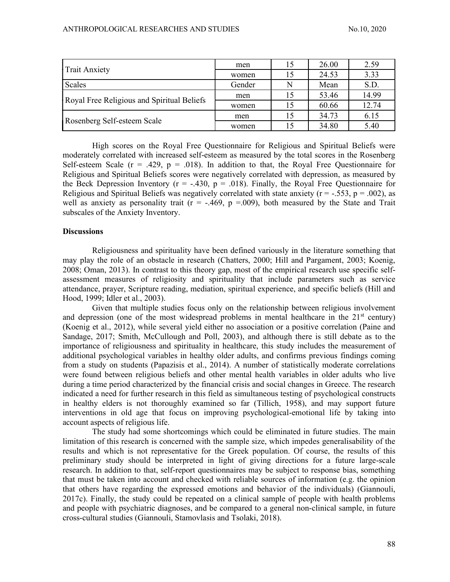| <b>Trait Anxiety</b>                       | men    | 26.00 | 2.59  |
|--------------------------------------------|--------|-------|-------|
|                                            | women  | 24.53 | 3.33  |
| <b>Scales</b>                              | Gender | Mean  | S.D.  |
| Royal Free Religious and Spiritual Beliefs | men    | 53.46 | 14.99 |
|                                            | women  | 60.66 | 12.74 |
| Rosenberg Self-esteem Scale                | men    | 34.73 | 6.15  |
|                                            | women  | 34.80 | 5.40  |

High scores on the Royal Free Questionnaire for Religious and Spiritual Beliefs were moderately correlated with increased self-esteem as measured by the total scores in the Rosenberg Self-esteem Scale ( $r = .429$ ,  $p = .018$ ). In addition to that, the Royal Free Questionnaire for Religious and Spiritual Beliefs scores were negatively correlated with depression, as measured by the Beck Depression Inventory ( $r = -.430$ ,  $p = .018$ ). Finally, the Royal Free Questionnaire for Religious and Spiritual Beliefs was negatively correlated with state anxiety ( $r = -.553$ ,  $p = .002$ ), as well as anxiety as personality trait ( $r = -.469$ ,  $p = .009$ ), both measured by the State and Trait subscales of the Anxiety Inventory.

# **Discussions**

Religiousness and spirituality have been defined variously in the literature something that may play the role of an obstacle in research (Chatters, 2000; Hill and Pargament, 2003; Koenig, 2008; Oman, 2013). In contrast to this theory gap, most of the empirical research use specific selfassessment measures of religiosity and spirituality that include parameters such as service attendance, prayer, Scripture reading, mediation, spiritual experience, and specific beliefs (Hill and Hood, 1999; Idler et al., 2003).

Given that multiple studies focus only on the relationship between religious involvement and depression (one of the most widespread problems in mental healthcare in the  $21<sup>st</sup>$  century) (Koenig et al., 2012), while several yield either no association or a positive correlation (Paine and Sandage, 2017; Smith, McCullough and Poll, 2003), and although there is still debate as to the importance of religiousness and spirituality in healthcare, this study includes the measurement of additional psychological variables in healthy older adults, and confirms previous findings coming from a study on students (Papazisis et al., 2014). A number of statistically moderate correlations were found between religious beliefs and other mental health variables in older adults who live during a time period characterized by the financial crisis and social changes in Greece. The research indicated a need for further research in this field as simultaneous testing of psychological constructs in healthy elders is not thoroughly examined so far (Tillich, 1958), and may support future interventions in old age that focus on improving psychological-emotional life by taking into account aspects of religious life.

The study had some shortcomings which could be eliminated in future studies. The main limitation of this research is concerned with the sample size, which impedes generalisability of the results and which is not representative for the Greek population. Of course, the results of this preliminary study should be interpreted in light of giving directions for a future large-scale research. In addition to that, self-report questionnaires may be subject to response bias, something that must be taken into account and checked with reliable sources of information (e.g. the opinion that others have regarding the expressed emotions and behavior of the individuals) (Giannouli, 2017c). Finally, the study could be repeated on a clinical sample of people with health problems and people with psychiatric diagnoses, and be compared to a general non-clinical sample, in future cross-cultural studies (Giannouli, Stamovlasis and Tsolaki, 2018).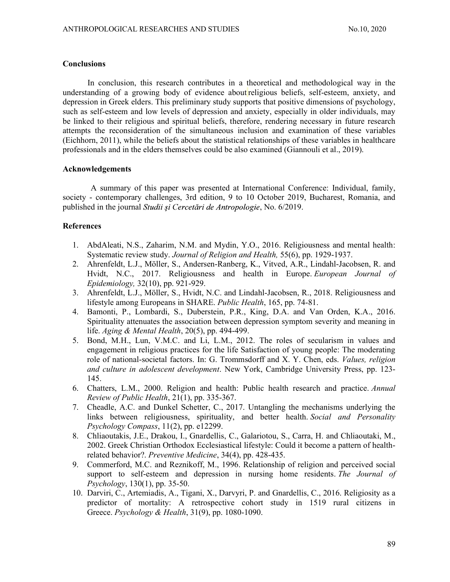#### **Conclusions**

In conclusion, this research contributes in a theoretical and methodological way in the understanding of a growing body of evidence about religious beliefs, self-esteem, anxiety, and depression in Greek elders. This preliminary study supports that positive dimensions of psychology, such as self-esteem and low levels of depression and anxiety, especially in older individuals, may be linked to their religious and spiritual beliefs, therefore, rendering necessary in future research attempts the reconsideration of the simultaneous inclusion and examination of these variables (Eichhorn, 2011), while the beliefs about the statistical relationships of these variables in healthcare professionals and in the elders themselves could be also examined (Giannouli et al., 2019).

# Acknowledgements

A summary of this paper was presented at International Conference: Individual, family, society - contemporary challenges, 3rd edition, 9 to 10 October 2019, Bucharest, Romania, and published in the journal *Studii si Cercetări de Antropologie*, No. 6/2019.

# **References**

- 1. AbdAleati, N.S., Zaharim, N.M. and Mydin, Y.O., 2016. Religiousness and mental health: Systematic review study. Journal of Religion and Health, 55(6), pp. 1929-1937.
- 2. Ahrenfeldt, L.J., Möller, S., Andersen-Ranberg, K., Vitved, A.R., Lindahl-Jacobsen, R. and Hvidt, N.C., 2017. Religiousness and health in Europe. *European Journal of* Epidemiology, 32(10), pp. 921-929.
- 3. Ahrenfeldt, L.J., Möller, S., Hvidt, N.C. and Lindahl-Jacobsen, R., 2018. Religiousness and lifestyle among Europeans in SHARE. Public Health, 165, pp. 74-81.
- 4. Bamonti, P., Lombardi, S., Duberstein, P.R., King, D.A. and Van Orden, K.A., 2016. Spirituality attenuates the association between depression symptom severity and meaning in life. Aging & Mental Health, 20(5), pp. 494-499.
- 5. Bond, M.H., Lun, V.M.C. and Li, L.M., 2012. The roles of secularism in values and engagement in religious practices for the life Satisfaction of young people: The moderating role of national-societal factors. In: G. Trommsdorff and X. Y. Chen, eds. Values, religion and culture in adolescent development. New York, Cambridge University Press, pp. 123- 145.
- 6. Chatters, L.M., 2000. Religion and health: Public health research and practice. Annual Review of Public Health, 21(1), pp. 335-367.
- 7. Cheadle, A.C. and Dunkel Schetter, C., 2017. Untangling the mechanisms underlying the links between religiousness, spirituality, and better health. Social and Personality Psychology Compass, 11(2), pp. e12299.
- 8. Chliaoutakis, J.E., Drakou, I., Gnardellis, C., Galariotou, S., Carra, H. and Chliaoutaki, M., 2002. Greek Christian Orthodox Ecclesiastical lifestyle: Could it become a pattern of healthrelated behavior?. Preventive Medicine, 34(4), pp. 428-435.
- 9. Commerford, M.C. and Reznikoff, M., 1996. Relationship of religion and perceived social support to self-esteem and depression in nursing home residents. The Journal of Psychology, 130(1), pp. 35-50.
- 10. Darviri, C., Artemiadis, A., Tigani, X., Darvyri, P. and Gnardellis, C., 2016. Religiosity as a predictor of mortality: A retrospective cohort study in 1519 rural citizens in Greece. Psychology & Health, 31(9), pp. 1080-1090.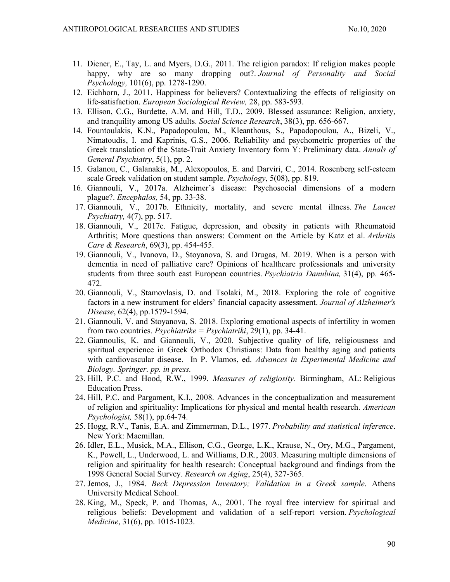- 11. Diener, E., Tay, L. and Myers, D.G., 2011. The religion paradox: If religion makes people happy, why are so many dropping out? Journal of Personality and Social Psychology, 101(6), pp. 1278-1290.
- 12. Eichhorn, J., 2011. Happiness for believers? Contextualizing the effects of religiosity on life-satisfaction. European Sociological Review, 28, pp. 583-593.
- 13. Ellison, C.G., Burdette, A.M. and Hill, T.D., 2009. Blessed assurance: Religion, anxiety, and tranquility among US adults. Social Science Research, 38(3), pp. 656-667.
- 14. Fountoulakis, K.N., Papadopoulou, M., Kleanthous, S., Papadopoulou, A., Bizeli, V., Nimatoudis, I. and Kaprinis, G.S., 2006. Reliability and psychometric properties of the Greek translation of the State-Trait Anxiety Inventory form Y: Preliminary data. Annals of General Psychiatry, 5(1), pp. 2.
- 15. Galanou, C., Galanakis, M., Alexopoulos, E. and Darviri, C., 2014. Rosenberg self-esteem scale Greek validation on student sample. *Psychology*, 5(08), pp. 819.
- 16. Giannouli, V., 2017a. Alzheimer's disease: Psychosocial dimensions of a modern plague?. Encephalos, 54, pp. 33-38.
- 17. Giannouli, V., 2017b. Ethnicity, mortality, and severe mental illness. The Lancet Psychiatry,  $4(7)$ , pp. 517.
- 18. Giannouli, V., 2017c. Fatigue, depression, and obesity in patients with Rheumatoid Arthritis; More questions than answers: Comment on the Article by Katz et al. Arthritis Care & Research, 69(3), pp. 454-455.
- 19. Giannouli, V., Ivanova, D., Stoyanova, S. and Drugas, M. 2019. When is a person with dementia in need of palliative care? Opinions of healthcare professionals and university students from three south east European countries. *Psychiatria Danubina*, 31(4), pp. 465-472.
- 20. Giannouli, V., Stamovlasis, D. and Tsolaki, M., 2018. Exploring the role of cognitive factors in a new instrument for elders' financial capacity assessment. Journal of Alzheimer's Disease, 62(4), pp.1579-1594.
- 21. Giannouli, V. and Stoyanova, S. 2018. Exploring emotional aspects of infertility in women from two countries. Psychiatrike = Psychiatriki, 29(1), pp. 34-41.
- 22. Giannoulis, K. and Giannouli, V., 2020. Subjective quality of life, religiousness and spiritual experience in Greek Orthodox Christians: Data from healthy aging and patients with cardiovascular disease. In P. Vlamos, ed. Advances in Experimental Medicine and Biology. Springer. pp. in press.
- 23. Hill, P.C. and Hood, R.W., 1999. Measures of religiosity. Birmingham, AL: Religious Education Press.
- 24. Hill, P.C. and Pargament, K.I., 2008. Advances in the conceptualization and measurement of religion and spirituality: Implications for physical and mental health research. American Psychologist, 58(1), pp.64-74.
- 25. Hogg, R.V., Tanis, E.A. and Zimmerman, D.L., 1977. Probability and statistical inference. New York: Macmillan.
- 26. Idler, E.L., Musick, M.A., Ellison, C.G., George, L.K., Krause, N., Ory, M.G., Pargament, K., Powell, L., Underwood, L. and Williams, D.R., 2003. Measuring multiple dimensions of religion and spirituality for health research: Conceptual background and findings from the 1998 General Social Survey. Research on Aging, 25(4), 327-365.
- 27. Jemos, J., 1984. Beck Depression Inventory; Validation in a Greek sample. Athens University Medical School.
- 28. King, M., Speck, P. and Thomas, A., 2001. The royal free interview for spiritual and religious beliefs: Development and validation of a self-report version. Psychological Medicine, 31(6), pp. 1015-1023.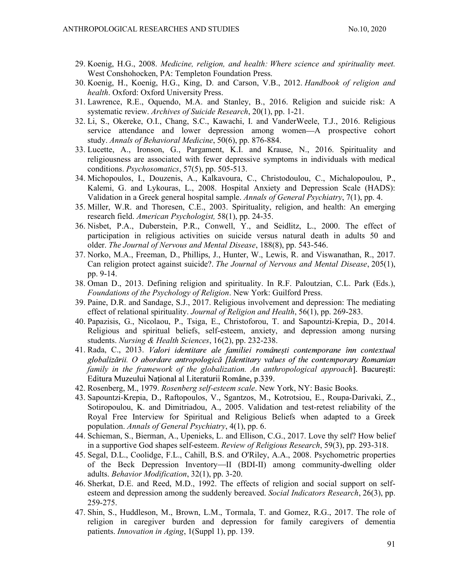- 29. Koenig, H.G., 2008. Medicine, religion, and health: Where science and spirituality meet. West Conshohocken, PA: Templeton Foundation Press.
- 30. Koenig, H., Koenig, H.G., King, D. and Carson, V.B., 2012. Handbook of religion and health. Oxford: Oxford University Press.
- 31. Lawrence, R.E., Oquendo, M.A. and Stanley, B., 2016. Religion and suicide risk: A systematic review. Archives of Suicide Research, 20(1), pp. 1-21.
- 32. Li, S., Okereke, O.I., Chang, S.C., Kawachi, I. and VanderWeele, T.J., 2016. Religious service attendance and lower depression among women—A prospective cohort study. Annals of Behavioral Medicine, 50(6), pp. 876-884.
- 33. Lucette, A., Ironson, G., Pargament, K.I. and Krause, N., 2016. Spirituality and religiousness are associated with fewer depressive symptoms in individuals with medical conditions. Psychosomatics, 57(5), pp. 505-513.
- 34. Michopoulos, I., Douzenis, A., Kalkavoura, C., Christodoulou, C., Michalopoulou, P., Kalemi, G. and Lykouras, L., 2008. Hospital Anxiety and Depression Scale (HADS): Validation in a Greek general hospital sample. Annals of General Psychiatry, 7(1), pp. 4.
- 35. Miller, W.R. and Thoresen, C.E., 2003. Spirituality, religion, and health: An emerging research field. American Psychologist, 58(1), pp. 24-35.
- 36. Nisbet, P.A., Duberstein, P.R., Conwell, Y., and Seidlitz, L., 2000. The effect of participation in religious activities on suicide versus natural death in adults 50 and older. The Journal of Nervous and Mental Disease, 188(8), pp. 543-546.
- 37. Norko, M.A., Freeman, D., Phillips, J., Hunter, W., Lewis, R. and Viswanathan, R., 2017. Can religion protect against suicide?. The Journal of Nervous and Mental Disease, 205(1), pp. 9-14.
- 38. Oman D., 2013. Defining religion and spirituality. In R.F. Paloutzian, C.L. Park (Eds.), Foundations of the Psychology of Religion. New York: Guilford Press.
- 39. Paine, D.R. and Sandage, S.J., 2017. Religious involvement and depression: The mediating effect of relational spirituality. Journal of Religion and Health, 56(1), pp. 269-283.
- 40. Papazisis, G., Nicolaou, P., Tsiga, E., Christoforou, T. and Sapountzi-Krepia, D., 2014. Religious and spiritual beliefs, self-esteem, anxiety, and depression among nursing students. Nursing & Health Sciences, 16(2), pp. 232-238.
- 41. Rada, C., 2013. Valori identitare ale familiei românești contemporane înn contextual globalizării. O abordare antropologică [Identitary values of the contemporary Romanian family in the framework of the globalization. An anthropological approach]. Bucuresti: Editura Muzeului Național al Literaturii Române, p.339.
- 42. Rosenberg, M., 1979. Rosenberg self-esteem scale. New York, NY: Basic Books.
- 43. Sapountzi-Krepia, D., Raftopoulos, V., Sgantzos, M., Kotrotsiou, E., Roupa-Darivaki, Z., Sotiropoulou, K. and Dimitriadou, A., 2005. Validation and test-retest reliability of the Royal Free Interview for Spiritual and Religious Beliefs when adapted to a Greek population. Annals of General Psychiatry, 4(1), pp. 6.
- 44. Schieman, S., Bierman, A., Upenieks, L. and Ellison, C.G., 2017. Love thy self? How belief in a supportive God shapes self-esteem. Review of Religious Research, 59(3), pp. 293-318.
- 45. Segal, D.L., Coolidge, F.L., Cahill, B.S. and O'Riley, A.A., 2008. Psychometric properties of the Beck Depression Inventory-II (BDI-II) among community-dwelling older adults. Behavior Modification, 32(1), pp. 3-20.
- 46. Sherkat, D.E. and Reed, M.D., 1992. The effects of religion and social support on selfesteem and depression among the suddenly bereaved. Social Indicators Research, 26(3), pp. 259-275.
- 47. Shin, S., Huddleson, M., Brown, L.M., Tormala, T. and Gomez, R.G., 2017. The role of religion in caregiver burden and depression for family caregivers of dementia patients. Innovation in Aging, 1(Suppl 1), pp. 139.